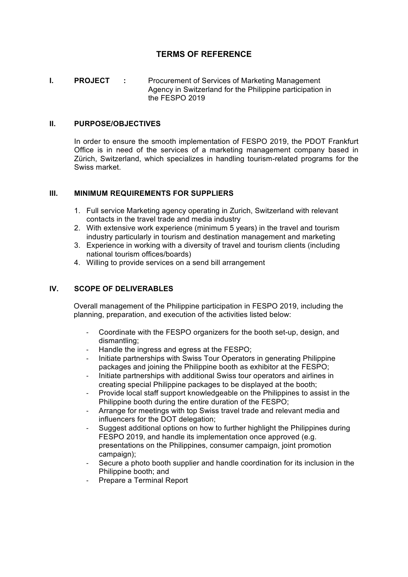# **TERMS OF REFERENCE**

**I. PROJECT :** Procurement of Services of Marketing Management Agency in Switzerland for the Philippine participation in the FESPO 2019

#### **II. PURPOSE/OBJECTIVES**

In order to ensure the smooth implementation of FESPO 2019, the PDOT Frankfurt Office is in need of the services of a marketing management company based in Zürich, Switzerland, which specializes in handling tourism-related programs for the Swiss market.

### **III. MINIMUM REQUIREMENTS FOR SUPPLIERS**

- 1. Full service Marketing agency operating in Zurich, Switzerland with relevant contacts in the travel trade and media industry
- 2. With extensive work experience (minimum 5 years) in the travel and tourism industry particularly in tourism and destination management and marketing
- 3. Experience in working with a diversity of travel and tourism clients (including national tourism offices/boards)
- 4. Willing to provide services on a send bill arrangement

## **IV. SCOPE OF DELIVERABLES**

Overall management of the Philippine participation in FESPO 2019, including the planning, preparation, and execution of the activities listed below:

- Coordinate with the FESPO organizers for the booth set-up, design, and dismantling;
- Handle the ingress and egress at the FESPO:
- Initiate partnerships with Swiss Tour Operators in generating Philippine packages and joining the Philippine booth as exhibitor at the FESPO;
- Initiate partnerships with additional Swiss tour operators and airlines in creating special Philippine packages to be displayed at the booth;
- Provide local staff support knowledgeable on the Philippines to assist in the Philippine booth during the entire duration of the FESPO;
- Arrange for meetings with top Swiss travel trade and relevant media and influencers for the DOT delegation;
- Suggest additional options on how to further highlight the Philippines during FESPO 2019, and handle its implementation once approved (e.g. presentations on the Philippines, consumer campaign, joint promotion campaign);
- Secure a photo booth supplier and handle coordination for its inclusion in the Philippine booth; and
- Prepare a Terminal Report